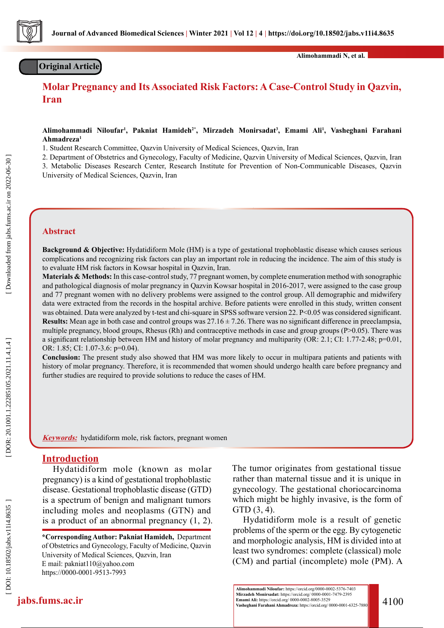

## **Original Article**

**Alimohammadi N, et al.**

# **Molar Pregnancy and Its Associated Risk Factors: A Case-Control Study in Qazvin, Iran**

**Alimohammadi Niloufar 1 , Pakniat Hamideh2\*, Mirzadeh Monirsadat 3 , Emami Ali 1 , Vasheghani Farahani Ahmadreza 1**

1. Student Research Committee, Qazvin University of Medical Sciences, Qazvin, Iran

2. Department of Obstetrics and Gynecology, Faculty of Medicine, Qazvin University of Medical Sciences, Qazvin, Iran

3. Metabolic Diseases Research Center, Research Institute for Prevention of Non-Communicable Diseases, Qazvin University of Medical Sciences, Qazvin, Iran

Received: 20 Jun 2021 Accepted: 10 Aug 2021

#### **Abstract**

**Background & Objective:** Hydatidiform Mole (HM) is a type of gestational trophoblastic disease which causes serious complications and recognizing risk factors can play an important role in reducing the incidence. The aim of this study is to evaluate HM risk factors in Kowsar hospital in Qazvin, Iran.

**Materials & Methods:** In this case-control study, 77 pregnant women, by complete enumeration method with sonographic and pathological diagnosis of molar pregnancy in Qazvin Kowsar hospital in 2016-2017, were assigned to the case group and 77 pregnant women with no delivery problems were assigned to the control group. All demographic and midwifery data were extracted from the records in the hospital archive. Before patients were enrolled in this study, written consent was obtained. Data were analyzed by t-test and chi-square in SPSS software version 22. P<0.05 was considered significant. **Results:** Mean age in both case and control groups was 27.16 ± 7.26. There was no significant difference in preeclampsia, multiple pregnancy, blood groups, Rhesus (Rh) and contraceptive methods in case and group groups (P>0.05). There was a significant relationship between HM and history of molar pregnancy and multiparity (OR: 2.1; CI: 1.77-2.48;  $p=0.01$ , OR: 1.85; CI: 1.07-3.6: p=0.04).

**Conclusion:** The present study also showed that HM was more likely to occur in multipara patients and patients with history of molar pregnancy. Therefore, it is recommended that women should undergo health care before pregnancy and further studies are required to provide solutions to reduce the cases of HM.

**Keywords:** hydatidiform mole, risk factors, pregnant women

## **Introduction**

Hydatidiform mole (known as molar pregnancy) is a kind of gestational trophoblastic disease. Gestational trophoblastic disease (GTD) is a spectrum of benign and malignant tumors including moles and neoplasms (GTN) and is a product of an abnormal pregnancy (1, 2).

**\*Corresponding Author: Pakniat Hamideh,** Department of Obstetrics and Gynecology, Faculty of Medicine, Qazvin University of Medical Sciences, Qazvin, Iran E mail: pakniat110@yahoo.com https://0000-0001-9513-7993

The tumor originates from gestational tissue rather than maternal tissue and it is unique in gynecology. The gestational choriocarcinoma which might be highly invasive, is the form of GTD (3, 4).

Hydatidiform mole is a result of genetic problems of the sperm or the egg. By cytogenetic and morphologic analysis, HM is divided into at least two syndromes: complete (classical) mole (CM) and partial (incomplete) mole (PM). A

**jabs.fums.ac.ir** 4100<br> **Emami Ali:** https://orcid.org/ 0000-0001-7479-2395<br>  $\frac{\text{Riemanniani} \times \text{Riemanni} \times \text{Riemanni} \times \text{Riemanni} \times \text{Riemanni} \times \text{Riemanni} \times \text{Riemanni} \times \text{Riemanni} \times \text{Riemanni} \times \text{Riemanni} \times \text{Riemanni} \times \text{Riemanni} \times \text{Riemanni} \times \text{Riemanni} \times \$ **Alimohammadi Niloufar:** https://orcid.org/0000-0002-5376-7403 **Vasheghani Farahani Ahmadreza:** https://orcid.org/ 0000-0001-6325-7880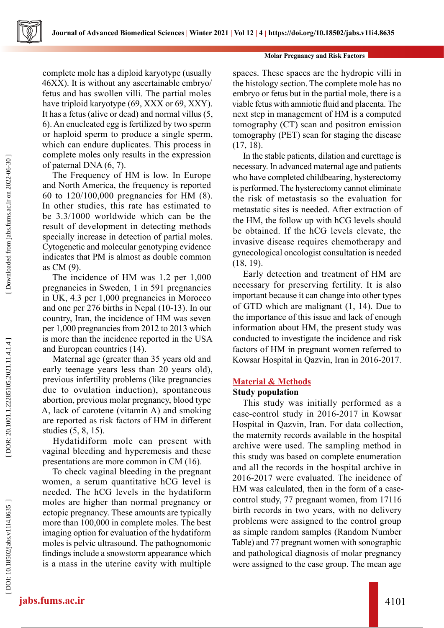#### **Molar Pregnancy and Risk Factors**

complete mole has a diploid karyotype (usually 46XX). It is without any ascertainable embryo/ fetus and has swollen villi. The partial moles have triploid karyotype (69, XXX or 69, XXY). It has a fetus (alive or dead) and normal villus (5, 6). An enucleated egg is fertilized by two sperm or haploid sperm to produce a single sperm, which can endure duplicates. This process in complete moles only results in the expression of paternal DNA (6, 7).

The Frequency of HM is low. In Europe and North America, the frequency is reported 60 to 120/100,000 pregnancies for HM (8). In other studies, this rate has estimated to be 3.3/1000 worldwide which can be the result of development in detecting methods specially increase in detection of partial moles. Cytogenetic and molecular genotyping evidence indicates that PM is almost as double common as CM (9).

The incidence of HM was 1.2 per 1,000 pregnancies in Sweden, 1 in 591 pregnancies in UK, 4.3 per 1,000 pregnancies in Morocco and one per 276 births in Nepal (10-13). In our country, Iran, the incidence of HM was seven per 1,000 pregnancies from 2012 to 2013 which is more than the incidence reported in the USA and European countries (14).

Maternal age (greater than 35 years old and early teenage years less than 20 years old), previous infertility problems (like pregnancies due to ovulation induction), spontaneous abortion, previous molar pregnancy, blood type A, lack of carotene (vitamin A) and smoking are reported as risk factors of HM in different studies (5, 8, 15).

Hydatidiform mole can present with vaginal bleeding and hyperemesis and these presentations are more common in CM (16).

To check vaginal bleeding in the pregnant women, a serum quantitative hCG level is needed. The hCG levels in the hydatiform moles are higher than normal pregnancy or ectopic pregnancy. These amounts are typically more than 100,000 in complete moles. The best imaging option for evaluation of the hydatiform moles is pelvic ultrasound. The pathognomonic findings include a snowstorm appearance which is a mass in the uterine cavity with multiple spaces. These spaces are the hydropic villi in the histology section. The complete mole has no embryo or fetus but in the partial mole, there is a viable fetus with amniotic fluid and placenta. The next step in management of HM is a computed tomography (CT) scan and positron emission tomography (PET) scan for staging the disease (17, 18).

In the stable patients, dilation and curettage is necessary. In advanced maternal age and patients who have completed childbearing, hysterectomy is performed. The hysterectomy cannot eliminate the risk of metastasis so the evaluation for metastatic sites is needed. After extraction of the HM, the follow up with hCG levels should be obtained. If the hCG levels elevate, the invasive disease requires chemotherapy and gynecological oncologist consultation is needed (18, 19).

Early detection and treatment of HM are necessary for preserving fertility. It is also important because it can change into other types of GTD which are malignant (1, 14). Due to the importance of this issue and lack of enough information about HM, the present study was conducted to investigate the incidence and risk factors of HM in pregnant women referred to Kowsar Hospital in Qazvin, Iran in 2016-2017.

## **Material & Methods**

## **Study population**

This study was initially performed as a case-control study in 2016-2017 in Kowsar Hospital in Qazvin, Iran. For data collection, the maternity records available in the hospital archive were used. The sampling method in this study was based on complete enumeration and all the records in the hospital archive in 2016-2017 were evaluated. The incidence of HM was calculated, then in the form of a casecontrol study, 77 pregnant women, from 17116 birth records in two years, with no delivery problems were assigned to the control group as simple random samples (Random Number Table) and 77 pregnant women with sonographic and pathological diagnosis of molar pregnancy were assigned to the case group. The mean age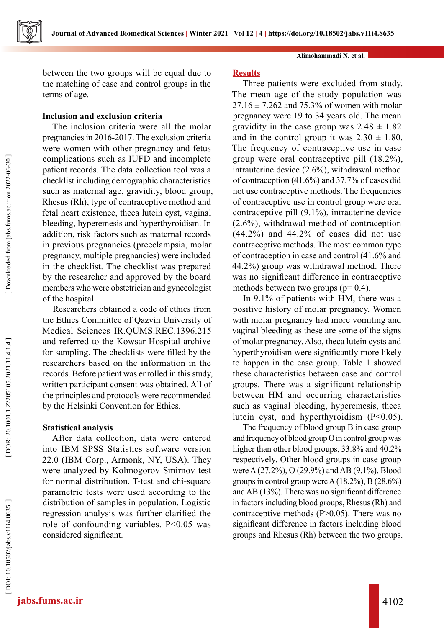

between the two groups will be equal due to the matching of case and control groups in the terms of age.

## **Inclusion and exclusion criteria**

The inclusion criteria were all the molar pregnancies in 2016-2017. The exclusion criteria were women with other pregnancy and fetus complications such as IUFD and incomplete patient records. The data collection tool was a checklist including demographic characteristics such as maternal age, gravidity, blood group, Rhesus (Rh), type of contraceptive method and fetal heart existence, theca lutein cyst, vaginal bleeding, hyperemesis and hyperthyroidism. In addition, risk factors such as maternal records in previous pregnancies (preeclampsia, molar pregnancy, multiple pregnancies) were included in the checklist. The checklist was prepared by the researcher and approved by the board members who were obstetrician and gynecologist of the hospital.

Researchers obtained a code of ethics from the Ethics Committee of Qazvin University of Medical Sciences IR.QUMS.REC.1396.215 and referred to the Kowsar Hospital archive for sampling. The checklists were filled by the researchers based on the information in the records. Before patient was enrolled in this study, written participant consent was obtained. All of the principles and protocols were recommended by the Helsinki Convention for Ethics.

## **Statistical analysis**

After data collection, data were entered into IBM SPSS Statistics software version 22.0 (IBM Corp., Armonk, NY, USA). They were analyzed by Kolmogorov-Smirnov test for normal distribution. T-test and chi-square parametric tests were used according to the distribution of samples in population. Logistic regression analysis was further clarified the role of confounding variables. P<0.05 was considered significant.

#### **Alimohammadi N, et al.**

### **Results**

Three patients were excluded from study. The mean age of the study population was  $27.16 \pm 7.262$  and 75.3% of women with molar pregnancy were 19 to 34 years old. The mean gravidity in the case group was  $2.48 \pm 1.82$ and in the control group it was  $2.30 \pm 1.80$ . The frequency of contraceptive use in case group were oral contraceptive pill (18.2%), intrauterine device (2.6%), withdrawal method of contraception (41.6%) and 37.7% of cases did not use contraceptive methods. The frequencies of contraceptive use in control group were oral contraceptive pill (9.1%), intrauterine device (2.6%), withdrawal method of contraception (44.2%) and 44.2% of cases did not use contraceptive methods. The most common type of contraception in case and control (41.6% and 44.2%) group was withdrawal method. There was no significant difference in contraceptive methods between two groups ( $p= 0.4$ ).

In 9.1% of patients with HM, there was a positive history of molar pregnancy. Women with molar pregnancy had more vomiting and vaginal bleeding as these are some of the signs of molar pregnancy. Also, theca lutein cysts and hyperthyroidism were significantly more likely to happen in the case group. Table 1 showed these characteristics between case and control groups. There was a significant relationship between HM and occurring characteristics such as vaginal bleeding, hyperemesis, theca lutein cyst, and hyperthyroidism  $(P<0.05)$ .

The frequency of blood group B in case group and frequency of blood group O in control group was higher than other blood groups, 33.8% and 40.2% respectively. Other blood groups in case group were A (27.2%), O (29.9%) and AB (9.1%). Blood groups in control group were A (18.2%), B (28.6%) and AB (13%). There was no significant difference in factors including blood groups, Rhesus (Rh) and contraceptive methods (P>0.05). There was no significant difference in factors including blood groups and Rhesus (Rh) between the two groups.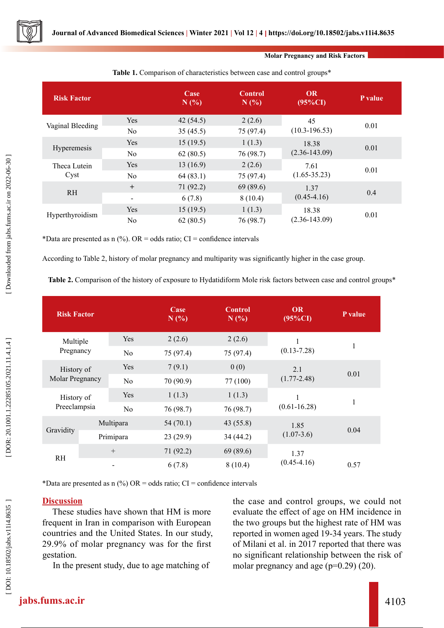**Molar Pregnancy and Risk Factors**

| <b>Risk Factor</b>   |                          | Case<br>N(%) | <b>Control</b><br>N(%) | <b>OR</b><br>$(95\%CI)$    | P value |
|----------------------|--------------------------|--------------|------------------------|----------------------------|---------|
| Vaginal Bleeding     | Yes                      | 42(54.5)     | 2(2.6)                 | 45<br>$(10.3 - 196.53)$    |         |
|                      | N <sub>0</sub>           | 35(45.5)     | 75 (97.4)              |                            | 0.01    |
| Hyperemesis          | <b>Yes</b>               | 15(19.5)     | 1(1.3)                 | 18.38<br>$(2.36 - 143.09)$ | 0.01    |
|                      | N <sub>0</sub>           | 62(80.5)     | 76 (98.7)              |                            |         |
| Theca Lutein<br>Cyst | Yes                      | 13(16.9)     | 2(2.6)                 | 7.61<br>$(1.65 - 35.23)$   | 0.01    |
|                      | N <sub>0</sub>           | 64(83.1)     | 75 (97.4)              |                            |         |
| <b>RH</b>            | $+$                      | 71(92.2)     | 69(89.6)               | 1.37<br>$(0.45 - 4.16)$    | 0.4     |
|                      | $\overline{\phantom{a}}$ | 6(7.8)       | 8(10.4)                |                            |         |
| Hyperthyroidism      | Yes                      | 15(19.5)     | 1(1.3)                 | 18.38<br>$(2.36 - 143.09)$ | 0.01    |
|                      | N <sub>0</sub>           | 62(80.5)     | 76 (98.7)              |                            |         |

### **Table 1.** Comparison of characteristics between case and control groups\*

\*Data are presented as  $n$  (%). OR = odds ratio; CI = confidence intervals

According to Table 2, history of molar pregnancy and multiparity was significantly higher in the case group.

**Table 2.** Comparison of the history of exposure to Hydatidiform Mole risk factors between case and control groups\*

| <b>Risk Factor</b>            |                |                | Case<br>N(%) | <b>Control</b><br>N(%) | <b>OR</b><br>$(95\%CI)$ | P value |
|-------------------------------|----------------|----------------|--------------|------------------------|-------------------------|---------|
| Multiple<br>Pregnancy         |                | Yes            | 2(2.6)       | 2(2.6)                 | 1                       |         |
|                               | N <sub>o</sub> | 75 (97.4)      | 75 (97.4)    | $(0.13 - 7.28)$        | 1                       |         |
| History of<br>Molar Pregnancy | Yes            | 7(9.1)         | 0(0)         | 2.1                    |                         |         |
|                               |                | N <sub>o</sub> | 70(90.9)     | 77 (100)               | $(1.77 - 2.48)$         | 0.01    |
| History of<br>Preeclampsia    |                | Yes            | 1(1.3)       | 1(1.3)                 | 1<br>$(0.61 - 16.28)$   | 1       |
|                               |                | N <sub>o</sub> | 76 (98.7)    | 76 (98.7)              |                         |         |
| Gravidity                     |                | Multipara      | 54(70.1)     | 43 (55.8)              | 1.85                    | 0.04    |
|                               |                | Primipara      | 23(29.9)     | 34(44.2)               | $(1.07-3.6)$            |         |
| <b>RH</b>                     | $+$            |                | 71(92.2)     | 69 (89.6)              | 1.37                    |         |
|                               |                |                | 6(7.8)       | 8(10.4)                | $(0.45 - 4.16)$         | 0.57    |

\*Data are presented as n  $(^{0}_{0})$  OR = odds ratio; CI = confidence intervals

## **Discussion**

These studies have shown that HM is more frequent in Iran in comparison with European countries and the United States. In our study, 29.9% of molar pregnancy was for the first gestation.

In the present study, due to age matching of

the case and control groups, we could not evaluate the effect of age on HM incidence in the two groups but the highest rate of HM was reported in women aged 19-34 years. The study of Milani et al. in 2017 reported that there was no significant relationship between the risk of molar pregnancy and age  $(p=0.29)$  (20).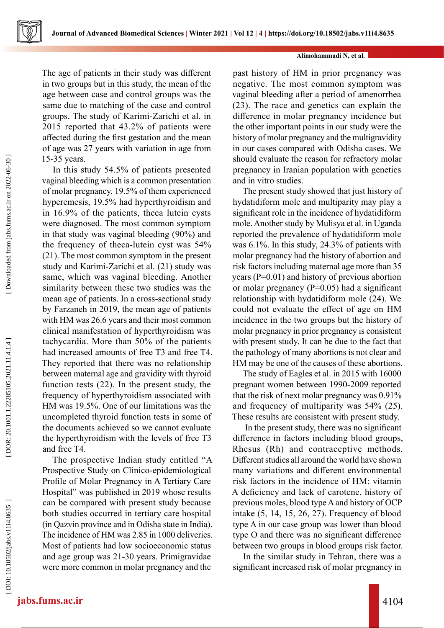

#### **Alimohammadi N, et al.**

The age of patients in their study was different in two groups but in this study, the mean of the age between case and control groups was the same due to matching of the case and control groups. The study of Karimi-Zarichi et al. in 2015 reported that 43.2% of patients were affected during the first gestation and the mean of age was 27 years with variation in age from 15-35 years.

In this study 54.5% of patients presented vaginal bleeding which is a common presentation of molar pregnancy. 19.5% of them experienced hyperemesis, 19.5% had hyperthyroidism and in 16.9% of the patients, theca lutein cysts were diagnosed. The most common symptom in that study was vaginal bleeding (90%) and the frequency of theca-lutein cyst was 54% (21). The most common symptom in the present study and Karimi-Zarichi et al. (21) study was same, which was vaginal bleeding. Another similarity between these two studies was the mean age of patients. In a cross-sectional study by Farzaneh in 2019, the mean age of patients with HM was 26.6 years and their most common clinical manifestation of hyperthyroidism was tachycardia. More than 50% of the patients had increased amounts of free T3 and free T4. They reported that there was no relationship between maternal age and gravidity with thyroid function tests (22). In the present study, the frequency of hyperthyroidism associated with HM was 19.5%. One of our limitations was the uncompleted thyroid function tests in some of the documents achieved so we cannot evaluate the hyperthyroidism with the levels of free T3 and free T4.

The prospective Indian study entitled "A Prospective Study on Clinico-epidemiological Profile of Molar Pregnancy in A Tertiary Care Hospital" was published in 2019 whose results can be compared with present study because both studies occurred in tertiary care hospital (in Qazvin province and in Odisha state in India). The incidence of HM was 2.85 in 1000 deliveries. Most of patients had low socioeconomic status and age group was 21-30 years. Primigravidae were more common in molar pregnancy and the

past history of HM in prior pregnancy was negative. The most common symptom was vaginal bleeding after a period of amenorrhea (23). The race and genetics can explain the difference in molar pregnancy incidence but the other important points in our study were the history of molar pregnancy and the multigravidity in our cases compared with Odisha cases. We should evaluate the reason for refractory molar pregnancy in Iranian population with genetics and in vitro studies.

The present study showed that just history of hydatidiform mole and multiparity may play a significant role in the incidence of hydatidiform mole. Another study by Mulisya et al. in Uganda reported the prevalence of hydatidiform mole was 6.1%. In this study, 24.3% of patients with molar pregnancy had the history of abortion and risk factors including maternal age more than 35 years (P=0.01) and history of previous abortion or molar pregnancy  $(P=0.05)$  had a significant relationship with hydatidiform mole (24). We could not evaluate the effect of age on HM incidence in the two groups but the history of molar pregnancy in prior pregnancy is consistent with present study. It can be due to the fact that the pathology of many abortions is not clear and HM may be one of the causes of these abortions.

The study of Eagles et al. in 2015 with 16000 pregnant women between 1990-2009 reported that the risk of next molar pregnancy was 0.91% and frequency of multiparity was 54% (25). These results are consistent with present study.

 In the present study, there was no significant difference in factors including blood groups, Rhesus (Rh) and contraceptive methods. Different studies all around the world have shown many variations and different environmental risk factors in the incidence of HM: vitamin A deficiency and lack of carotene, history of previous moles, blood type A and history of OCP intake (5, 14, 15, 26, 27). Frequency of blood type A in our case group was lower than blood type O and there was no significant difference between two groups in blood groups risk factor.

In the similar study in Tehran, there was a significant increased risk of molar pregnancy in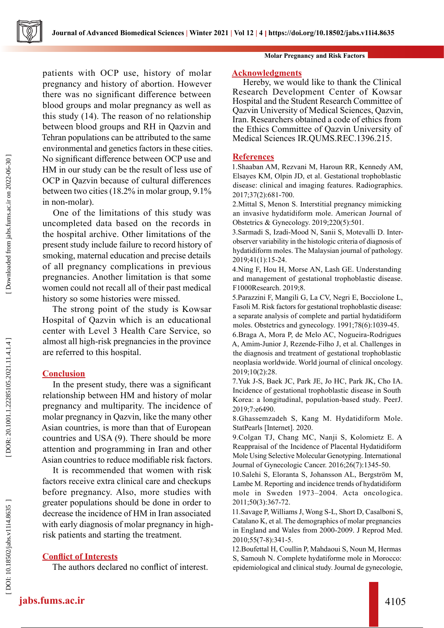

patients with OCP use, history of molar pregnancy and history of abortion. However there was no significant difference between blood groups and molar pregnancy as well as this study (14). The reason of no relationship between blood groups and RH in Qazvin and Tehran populations can be attributed to the same environmental and genetics factors in these cities. No significant difference between OCP use and HM in our study can be the result of less use of OCP in Qazvin because of cultural differences between two cities (18.2% in molar group, 9.1% in non-molar).

One of the limitations of this study was uncompleted data based on the records in the hospital archive. Other limitations of the present study include failure to record history of smoking, maternal education and precise details of all pregnancy complications in previous pregnancies. Another limitation is that some women could not recall all of their past medical history so some histories were missed.

The strong point of the study is Kowsar Hospital of Qazvin which is an educational center with Level 3 Health Care Service, so almost all high-risk pregnancies in the province are referred to this hospital.

## **Conclusion**

In the present study, there was a significant relationship between HM and history of molar pregnancy and multiparity. The incidence of molar pregnancy in Qazvin, like the many other Asian countries, is more than that of European countries and USA (9). There should be more attention and programming in Iran and other Asian countries to reduce modifiable risk factors.

It is recommended that women with risk factors receive extra clinical care and checkups before pregnancy. Also, more studies with greater populations should be done in order to decrease the incidence of HM in Iran associated with early diagnosis of molar pregnancy in highrisk patients and starting the treatment.

### **Conflict of Interests**

The authors declared no conflict of interest.

#### **Molar Pregnancy and Risk Factors**

#### **Acknowledgments**

Hereby, we would like to thank the Clinical Research Development Center of Kowsar Hospital and the Student Research Committee of Qazvin University of Medical Sciences, Qazvin, Iran. Researchers obtained a code of ethics from the Ethics Committee of Qazvin University of Medical Sciences IR.QUMS.REC.1396.215.

### **References**

1.Shaaban AM, Rezvani M, Haroun RR, Kennedy AM, Elsayes KM, Olpin JD, et al. Gestational trophoblastic disease: clinical and imaging features. Radiographics. 2017;37(2):681-700.

2.Mittal S, Menon S. Interstitial pregnancy mimicking an invasive hydatidiform mole. American Journal of Obstetrics & Gynecology. 2019;220(5):501.

3.Sarmadi S, Izadi-Mood N, Sanii S, Motevalli D. Interobserver variability in the histologic criteria of diagnosis of hydatidiform moles. The Malaysian journal of pathology. 2019;41(1):15-24.

4.Ning F, Hou H, Morse AN, Lash GE. Understanding and management of gestational trophoblastic disease. F1000Research. 2019;8.

5.Parazzini F, Mangili G, La CV, Negri E, Bocciolone L, Fasoli M. Risk factors for gestational trophoblastic disease: a separate analysis of complete and partial hydatidiform moles. Obstetrics and gynecology. 1991;78(6):1039-45.

6.Braga A, Mora P, de Melo AC, Nogueira-Rodrigues A, Amim-Junior J, Rezende-Filho J, et al. Challenges in the diagnosis and treatment of gestational trophoblastic neoplasia worldwide. World journal of clinical oncology. 2019;10(2):28.

7.Yuk J-S, Baek JC, Park JE, Jo HC, Park JK, Cho IA. Incidence of gestational trophoblastic disease in South Korea: a longitudinal, population-based study. PeerJ. 2019;7:e6490.

8.Ghassemzadeh S, Kang M. Hydatidiform Mole. StatPearls [Internet]. 2020.

9.Colgan TJ, Chang MC, Nanji S, Kolomietz E. A Reappraisal of the Incidence of Placental Hydatidiform Mole Using Selective Molecular Genotyping. International Journal of Gynecologic Cancer. 2016;26(7):1345-50.

10.Salehi S, Eloranta S, Johansson AL, Bergström M, Lambe M. Reporting and incidence trends of hydatidiform mole in Sweden 1973–2004. Acta oncologica. 2011;50(3):367-72.

11.Savage P, Williams J, Wong S-L, Short D, Casalboni S, Catalano K, et al. The demographics of molar pregnancies in England and Wales from 2000-2009. J Reprod Med. 2010;55(7-8):341-5.

12.Boufettal H, Coullin P, Mahdaoui S, Noun M, Hermas S, Samouh N. Complete hydatiforme mole in Morocco: epidemiological and clinical study. Journal de gynecologie,